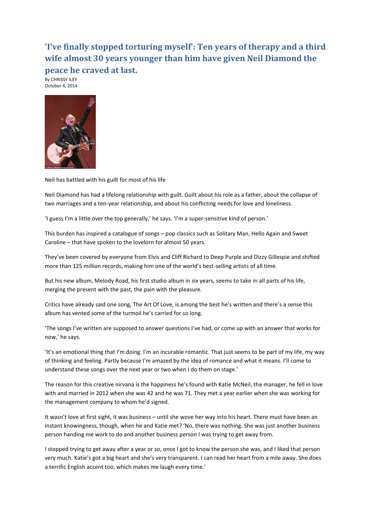## **'I've finally stopped torturing myself': Ten years of therapy and a third wife almost 30 years younger than him have given Neil Diamond the peace he craved at last.**

By CHRISSY ILEY October 4, 2014



Neil has battled with his guilt for most of his life

Neil Diamond has had a lifelong relationship with guilt. Guilt about his role as a father, about the collapse of two marriages and a ten-year relationship, and about his conflicting needs for love and loneliness.

'I guess I'm a little over the top generally,' he says. 'I'm a super-sensitive kind of person.'

This burden has inspired a catalogue of songs – pop classics such as Solitary Man, Hello Again and Sweet Caroline – that have spoken to the lovelorn for almost 50 years.

They've been covered by everyone from Elvis and Cliff Richard to Deep Purple and Dizzy Gillespie and shifted more than 125 million records, making him one of the world's best-selling artists of all time.

But his new album, Melody Road, his first studio album in six years, seems to take in all parts of his life, merging the present with the past, the pain with the pleasure.

Critics have already said one song, The Art Of Love, is among the best he's written and there's a sense this album has vented some of the turmoil he's carried for so long.

'The songs I've written are supposed to answer questions I've had, or come up with an answer that works for now,' he says.

'It's an emotional thing that I'm doing. I'm an incurable romantic. That just seems to be part of my life, my way of thinking and feeling. Partly because I'm amazed by the idea of romance and what it means. I'll come to understand these songs over the next year or two when I do them on stage.'

The reason for this creative nirvana is the happiness he's found with Katie McNeil, the manager, he fell in love with and married in 2012 when she was 42 and he was 71. They met a year earlier when she was working for the management company to whom he'd signed.

It wasn't love at first sight, it was business – until she wove her way into his heart. There must have been an instant knowingness, though, when he and Katie met? 'No, there was nothing. She was just another business person handing me work to do and another business person I was trying to get away from.

I stopped trying to get away after a year or so, once I got to know the person she was, and I liked that person very much. Katie's got a big heart and she's very transparent. I can read her heart from a mile away. She does a terrific English accent too, which makes me laugh every time.'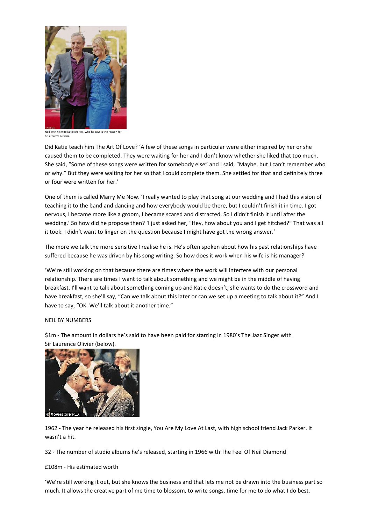

Neil with his wife Katie McNeil, who he says is the reason for his creative nirvana

Did Katie teach him The Art Of Love? 'A few of these songs in particular were either inspired by her or she caused them to be completed. They were waiting for her and I don't know whether she liked that too much. She said, "Some of these songs were written for somebody else" and I said, "Maybe, but I can't remember who or why." But they were waiting for her so that I could complete them. She settled for that and definitely three or four were written for her.'

One of them is called Marry Me Now. 'I really wanted to play that song at our wedding and I had this vision of teaching it to the band and dancing and how everybody would be there, but I couldn't finish it in time. I got nervous, I became more like a groom, I became scared and distracted. So I didn't finish it until after the wedding.' So how did he propose then? 'I just asked her, "Hey, how about you and I get hitched?" That was all it took. I didn't want to linger on the question because I might have got the wrong answer.'

The more we talk the more sensitive I realise he is. He's often spoken about how his past relationships have suffered because he was driven by his song writing. So how does it work when his wife is his manager?

'We're still working on that because there are times where the work will interfere with our personal relationship. There are times I want to talk about something and we might be in the middle of having breakfast. I'll want to talk about something coming up and Katie doesn't, she wants to do the crossword and have breakfast, so she'll say, "Can we talk about this later or can we set up a meeting to talk about it?" And I have to say, "OK. We'll talk about it another time."

## NEIL BY NUMBERS

\$1m - The amount in dollars he's said to have been paid for starring in 1980's The Jazz Singer with Sir Laurence Olivier (below).



1962 - The year he released his first single, You Are My Love At Last, with high school friend Jack Parker. It wasn't a hit.

32 - The number of studio albums he's released, starting in 1966 with The Feel Of Neil Diamond

£108m - His estimated worth

'We're still working it out, but she knows the business and that lets me not be drawn into the business part so much. It allows the creative part of me time to blossom, to write songs, time for me to do what I do best.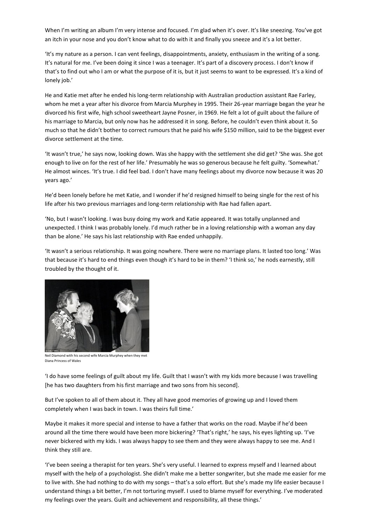When I'm writing an album I'm very intense and focused. I'm glad when it's over. It's like sneezing. You've got an itch in your nose and you don't know what to do with it and finally you sneeze and it's a lot better.

'It's my nature as a person. I can vent feelings, disappointments, anxiety, enthusiasm in the writing of a song. It's natural for me. I've been doing it since I was a teenager. It's part of a discovery process. I don't know if that's to find out who I am or what the purpose of it is, but it just seems to want to be expressed. It's a kind of lonely job.'

He and Katie met after he ended his long-term relationship with Australian production assistant Rae Farley, whom he met a year after his divorce from Marcia Murphey in 1995. Their 26-year marriage began the year he divorced his first wife, high school sweetheart Jayne Posner, in 1969. He felt a lot of guilt about the failure of his marriage to Marcia, but only now has he addressed it in song. Before, he couldn't even think about it. So much so that he didn't bother to correct rumours that he paid his wife \$150 million, said to be the biggest ever divorce settlement at the time.

'It wasn't true,' he says now, looking down. Was she happy with the settlement she did get? 'She was. She got enough to live on for the rest of her life.' Presumably he was so generous because he felt guilty. 'Somewhat.' He almost winces. 'It's true. I did feel bad. I don't have many feelings about my divorce now because it was 20 years ago.'

He'd been lonely before he met Katie, and I wonder if he'd resigned himself to being single for the rest of his life after his two previous marriages and long-term relationship with Rae had fallen apart.

'No, but I wasn't looking. I was busy doing my work and Katie appeared. It was totally unplanned and unexpected. I think I was probably lonely. I'd much rather be in a loving relationship with a woman any day than be alone.' He says his last relationship with Rae ended unhappily.

'It wasn't a serious relationship. It was going nowhere. There were no marriage plans. It lasted too long.' Was that because it's hard to end things even though it's hard to be in them? 'I think so,' he nods earnestly, still troubled by the thought of it.



Neil Diamond with his second wife Marcia Murphey when they met Diana Princess of Wales

'I do have some feelings of guilt about my life. Guilt that I wasn't with my kids more because I was travelling [he has two daughters from his first marriage and two sons from his second].

But I've spoken to all of them about it. They all have good memories of growing up and I loved them completely when I was back in town. I was theirs full time.'

Maybe it makes it more special and intense to have a father that works on the road. Maybe if he'd been around all the time there would have been more bickering? 'That's right,' he says, his eyes lighting up. 'I've never bickered with my kids. I was always happy to see them and they were always happy to see me. And I think they still are.

'I've been seeing a therapist for ten years. She's very useful. I learned to express myself and I learned about myself with the help of a psychologist. She didn't make me a better songwriter, but she made me easier for me to live with. She had nothing to do with my songs – that's a solo effort. But she's made my life easier because I understand things a bit better, I'm not torturing myself. I used to blame myself for everything. I've moderated my feelings over the years. Guilt and achievement and responsibility, all these things.'